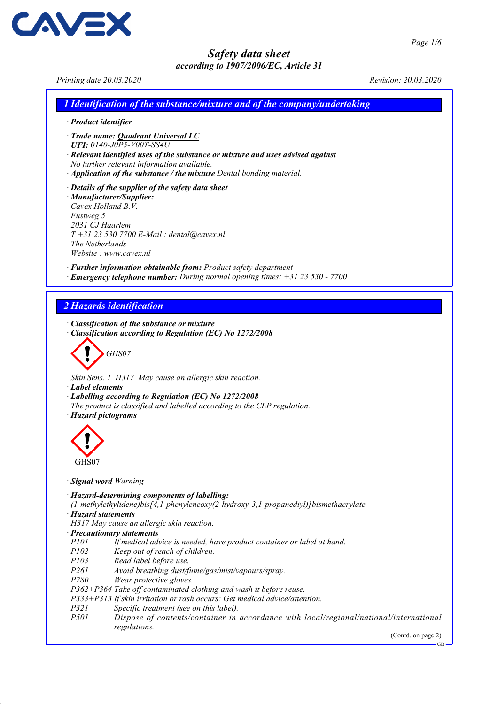Printing date 20.03.2020 Revision: 20.03.2020

**AV-**

1 Identification of the substance/mixture and of the company/undertaking

· Product identifier

· Trade name: Quadrant Universal LC

· UFI: 0140-J0P5-V00T-SS4U

- · Relevant identified uses of the substance or mixture and uses advised against
- No further relevant information available.
- · Application of the substance / the mixture Dental bonding material.
- · Details of the supplier of the safety data sheet · Manufacturer/Supplier: Cavex Holland B.V. Fustweg 5 2031 CJ Haarlem  $T + 31$  23 530 7700 E-Mail : dental@cavex.nl The Netherlands Website : www.cavex.nl

· Further information obtainable from: Product safety department

· Emergency telephone number: During normal opening times: +31 23 530 - 7700

### 2 Hazards identification

· Classification of the substance or mixture

· Classification according to Regulation (EC) No 1272/2008



Skin Sens. 1 H317 May cause an allergic skin reaction.

- · Label elements
- · Labelling according to Regulation (EC) No 1272/2008
- The product is classified and labelled according to the CLP regulation.
- · Hazard pictograms



- · Signal word Warning
- · Hazard-determining components of labelling:

(1-methylethylidene)bis[4,1-phenyleneoxy(2-hydroxy-3,1-propanediyl)]bismethacrylate · Hazard statements

- H317 May cause an allergic skin reaction.
- · Precautionary statements
- P101 If medical advice is needed, have product container or label at hand.
- P102 Keep out of reach of children.
- P103 Read label before use.
- P261 Avoid breathing dust/fume/gas/mist/vapours/spray.
- P280 Wear protective gloves.

P362+P364 Take off contaminated clothing and wash it before reuse.

P333+P313 If skin irritation or rash occurs: Get medical advice/attention.

- P321 Specific treatment (see on this label).<br>P501 Dispose of contents/container in
- Dispose of contents/container in accordance with local/regional/national/international regulations.

(Contd. on page 2)

GB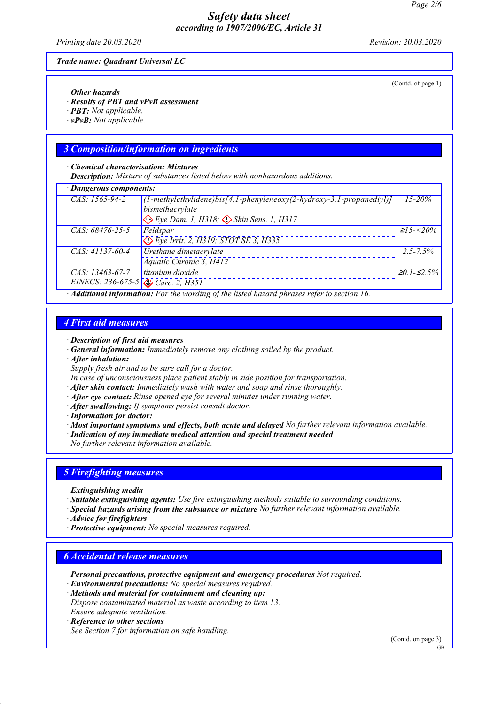Printing date 20.03.2020 Revision: 20.03.2020

Trade name: Quadrant Universal LC

- · Other hazards
- · Results of PBT and vPvB assessment
- · PBT: Not applicable.
- $\cdot$  vPvB: Not applicable.

### 3 Composition/information on ingredients

· Chemical characterisation: Mixtures

· Description: Mixture of substances listed below with nonhazardous additions.

| · Dangerous components:                                                                           |                                                                          |                     |  |
|---------------------------------------------------------------------------------------------------|--------------------------------------------------------------------------|---------------------|--|
| CAS: 1565-94-2                                                                                    | $(1-methylethylindere)$ bis[4,1-phenyleneoxy(2-hydroxy-3,1-propanediyl)] | $15 - 20\%$         |  |
|                                                                                                   | bismethacrylate                                                          |                     |  |
|                                                                                                   | $\leftrightarrow$ Eye Dam. 1, H318; $\leftrightarrow$ Skin Sens. 1, H317 |                     |  |
| CAS: 68476-25-5                                                                                   | Feldspar                                                                 | $\geq 15 - 20\%$    |  |
|                                                                                                   | $\bigotimes$ Eye Irrit. 2, H319; STOT SE 3, H335                         |                     |  |
| CAS: 41137-60-4                                                                                   | Urethane dimetacrylate                                                   | $2.5 - 7.5\%$       |  |
|                                                                                                   | Aquatic Chronic 3, H412                                                  |                     |  |
| $CAS: 13463-67-7$                                                                                 | titanium dioxide                                                         | $\geq 0.1 - 52.5\%$ |  |
| EINECS: 236-675-5 $\otimes$ Carc. 2, H351                                                         |                                                                          |                     |  |
| $\cdot$ Additional information: For the wording of the listed hazard phrases refer to section 16. |                                                                          |                     |  |

### 4 First aid measures

#### · Description of first aid measures

· General information: Immediately remove any clothing soiled by the product.

· After inhalation:

Supply fresh air and to be sure call for a doctor.

- In case of unconsciousness place patient stably in side position for transportation.
- $\cdot$  **After skin contact:** Immediately wash with water and soap and rinse thoroughly.
- · After eye contact: Rinse opened eye for several minutes under running water.
- · After swallowing: If symptoms persist consult doctor.
- · Information for doctor:

· Most important symptoms and effects, both acute and delayed No further relevant information available.

· Indication of any immediate medical attention and special treatment needed

No further relevant information available.

### 5 Firefighting measures

- · Extinguishing media
- · Suitable extinguishing agents: Use fire extinguishing methods suitable to surrounding conditions.
- · Special hazards arising from the substance or mixture No further relevant information available.
- · Advice for firefighters
- · Protective equipment: No special measures required.

#### 6 Accidental release measures

- · Personal precautions, protective equipment and emergency procedures Not required.
- · Environmental precautions: No special measures required.
- · Methods and material for containment and cleaning up: Dispose contaminated material as waste according to item 13. Ensure adequate ventilation.
- · Reference to other sections See Section 7 for information on safe handling.

(Contd. on page 3)

(Contd. of page 1)

GB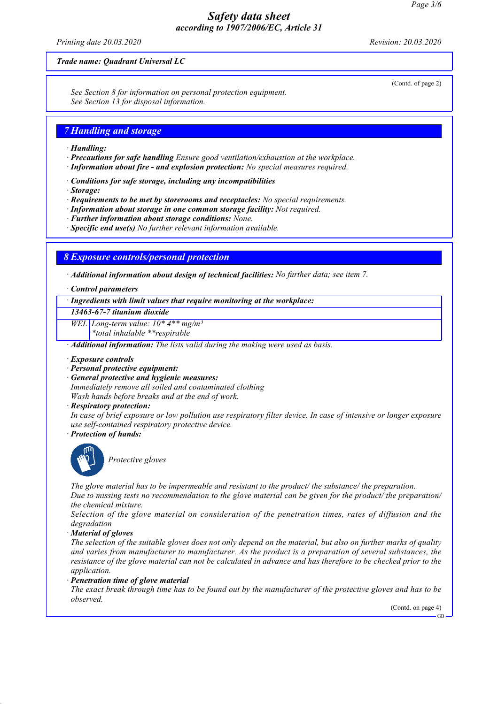Printing date 20.03.2020 Revision: 20.03.2020

(Contd. of page 2)

#### Trade name: Quadrant Universal LC

See Section 8 for information on personal protection equipment. See Section 13 for disposal information.

### 7 Handling and storage

- · Handling:
- · Precautions for safe handling Ensure good ventilation/exhaustion at the workplace.
- · Information about fire and explosion protection: No special measures required.
- · Conditions for safe storage, including any incompatibilities
- · Storage:
- · Requirements to be met by storerooms and receptacles: No special requirements.
- · Information about storage in one common storage facility: Not required.
- · Further information about storage conditions: None.
- · Specific end use(s) No further relevant information available.

### 8 Exposure controls/personal protection

· Additional information about design of technical facilities: No further data; see item 7.

#### · Control parameters

· Ingredients with limit values that require monitoring at the workplace:

13463-67-7 titanium dioxide

WEL Long-term value:  $10^*$  4<sup>\*\*</sup> mg/m<sup>3</sup>

\*total inhalable \*\*respirable

· Additional information: The lists valid during the making were used as basis.

- · Exposure controls
- · Personal protective equipment:
- · General protective and hygienic measures:

Immediately remove all soiled and contaminated clothing Wash hands before breaks and at the end of work.

· Respiratory protection:

In case of brief exposure or low pollution use respiratory filter device. In case of intensive or longer exposure use self-contained respiratory protective device.

· Protection of hands:



Protective gloves

The glove material has to be impermeable and resistant to the product/ the substance/ the preparation. Due to missing tests no recommendation to the glove material can be given for the product/ the preparation/ the chemical mixture.

Selection of the glove material on consideration of the penetration times, rates of diffusion and the degradation

· Material of gloves

The selection of the suitable gloves does not only depend on the material, but also on further marks of quality and varies from manufacturer to manufacturer. As the product is a preparation of several substances, the resistance of the glove material can not be calculated in advance and has therefore to be checked prior to the application.

· Penetration time of glove material

The exact break through time has to be found out by the manufacturer of the protective gloves and has to be observed.

(Contd. on page 4)

GB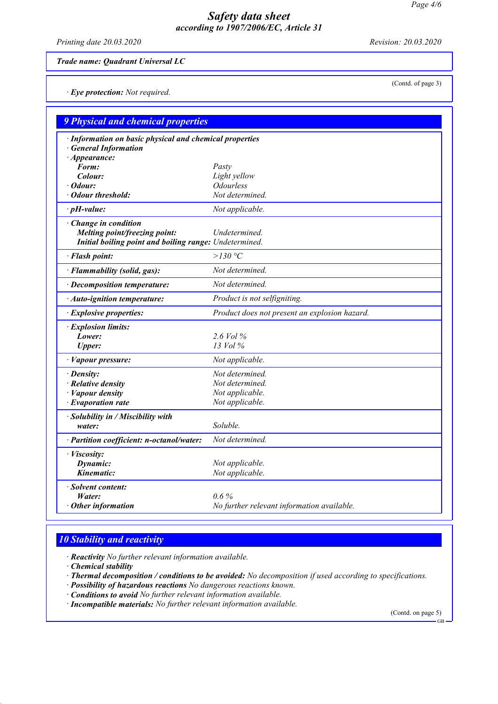Printing date 20.03.2020 Revision: 20.03.2020

(Contd. of page 3)

Trade name: Quadrant Universal LC

· Eye protection: Not required.

| <b>9 Physical and chemical properties</b>                                             |                                               |  |  |  |
|---------------------------------------------------------------------------------------|-----------------------------------------------|--|--|--|
| · Information on basic physical and chemical properties<br><b>General Information</b> |                                               |  |  |  |
| $\cdot$ Appearance:                                                                   |                                               |  |  |  |
| Form:                                                                                 | Pasty                                         |  |  |  |
| Colour:                                                                               | Light yellow                                  |  |  |  |
| · Odour:                                                                              | <i><b>Odourless</b></i>                       |  |  |  |
| · Odour threshold:                                                                    | Not determined.                               |  |  |  |
| $\cdot$ pH-value:                                                                     | Not applicable.                               |  |  |  |
| · Change in condition                                                                 |                                               |  |  |  |
| Melting point/freezing point:                                                         | Undetermined.                                 |  |  |  |
| Initial boiling point and boiling range: Undetermined.                                |                                               |  |  |  |
| · Flash point:                                                                        | $>130$ °C                                     |  |  |  |
| · Flammability (solid, gas):                                                          | Not determined.                               |  |  |  |
| $\cdot$ Decomposition temperature:                                                    | Not determined.                               |  |  |  |
| · Auto-ignition temperature:                                                          | Product is not selfigniting.                  |  |  |  |
| · Explosive properties:                                                               | Product does not present an explosion hazard. |  |  |  |
| · Explosion limits:                                                                   |                                               |  |  |  |
| Lower:                                                                                | 2.6 Vol $\%$                                  |  |  |  |
| <b>Upper:</b>                                                                         | 13 Vol %                                      |  |  |  |
| · Vapour pressure:                                                                    | Not applicable.                               |  |  |  |
| · Density:                                                                            | Not determined.                               |  |  |  |
| $\cdot$ Relative density                                                              | Not determined.                               |  |  |  |
| $\cdot$ <i>Vapour density</i>                                                         | Not applicable.                               |  |  |  |
| $\cdot$ Evaporation rate                                                              | Not applicable.                               |  |  |  |
| $\cdot$ Solubility in / Miscibility with                                              |                                               |  |  |  |
| water:                                                                                | Soluble.                                      |  |  |  |
| · Partition coefficient: n-octanol/water:                                             | Not determined.                               |  |  |  |
| · <i>Viscosity</i> :                                                                  |                                               |  |  |  |
| Dynamic:                                                                              | Not applicable.                               |  |  |  |
| Kinematic:                                                                            | Not applicable.                               |  |  |  |
| · Solvent content:                                                                    |                                               |  |  |  |
| Water:                                                                                | $0.6\%$                                       |  |  |  |
| $\cdot$ Other information                                                             | No further relevant information available.    |  |  |  |
|                                                                                       |                                               |  |  |  |

# 10 Stability and reactivity

· Reactivity No further relevant information available.

· Chemical stability

- · Thermal decomposition / conditions to be avoided: No decomposition if used according to specifications.
- · Possibility of hazardous reactions No dangerous reactions known.
- · Conditions to avoid No further relevant information available.
- · Incompatible materials: No further relevant information available.

(Contd. on page 5)

GB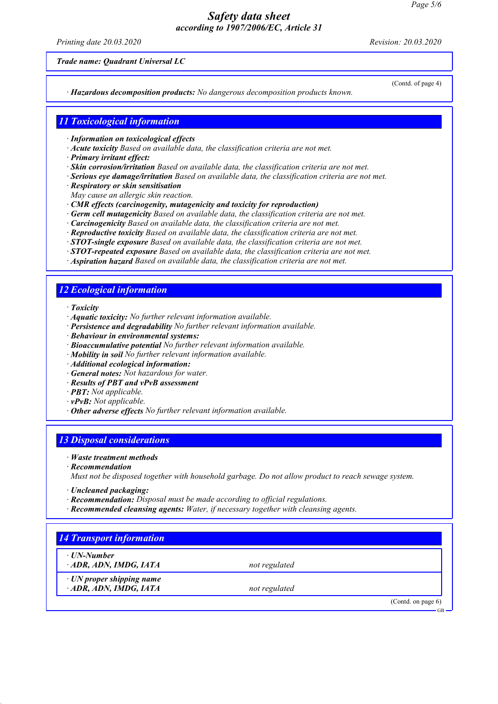Printing date 20.03.2020 Revision: 20.03.2020

Trade name: Quadrant Universal LC

(Contd. of page 4)

GB

· Hazardous decomposition products: No dangerous decomposition products known.

### 11 Toxicological information

· Information on toxicological effects

- · Acute toxicity Based on available data, the classification criteria are not met.
- · Primary irritant effect:
- · Skin corrosion/irritation Based on available data, the classification criteria are not met.
- · Serious eye damage/irritation Based on available data, the classification criteria are not met.
- · Respiratory or skin sensitisation
- May cause an allergic skin reaction.
- · CMR effects (carcinogenity, mutagenicity and toxicity for reproduction)
- · Germ cell mutagenicity Based on available data, the classification criteria are not met.
- · Carcinogenicity Based on available data, the classification criteria are not met.
- · Reproductive toxicity Based on available data, the classification criteria are not met.
- · STOT-single exposure Based on available data, the classification criteria are not met.
- · STOT-repeated exposure Based on available data, the classification criteria are not met.
- · Aspiration hazard Based on available data, the classification criteria are not met.

# 12 Ecological information

· Toxicity

- · Aquatic toxicity: No further relevant information available.
- · Persistence and degradability No further relevant information available.
- · Behaviour in environmental systems:
- · Bioaccumulative potential No further relevant information available.
- $\cdot$  Mobility in soil  $\bar{No}$  further relevant information available.
- · Additional ecological information:
- · General notes: Not hazardous for water.
- · Results of PBT and vPvB assessment
- · PBT: Not applicable.
- $\cdot$  **vPvB:** Not applicable.
- $\cdot$  Other adverse effects No further relevant information available.

# 13 Disposal considerations

- · Waste treatment methods
- · Recommendation

Must not be disposed together with household garbage. Do not allow product to reach sewage system.

- · Uncleaned packaging:
- · Recommendation: Disposal must be made according to official regulations.
- · Recommended cleansing agents: Water, if necessary together with cleansing agents.

| ⋅ UN-Number                     |               |                       |
|---------------------------------|---------------|-----------------------|
| ADR, ADN, IMDG, IATA            | not regulated |                       |
| $\cdot$ UN proper shipping name |               |                       |
| · ADR, ADN, IMDG, IATA          | not regulated |                       |
|                                 |               | (Contd. on page $6$ ) |